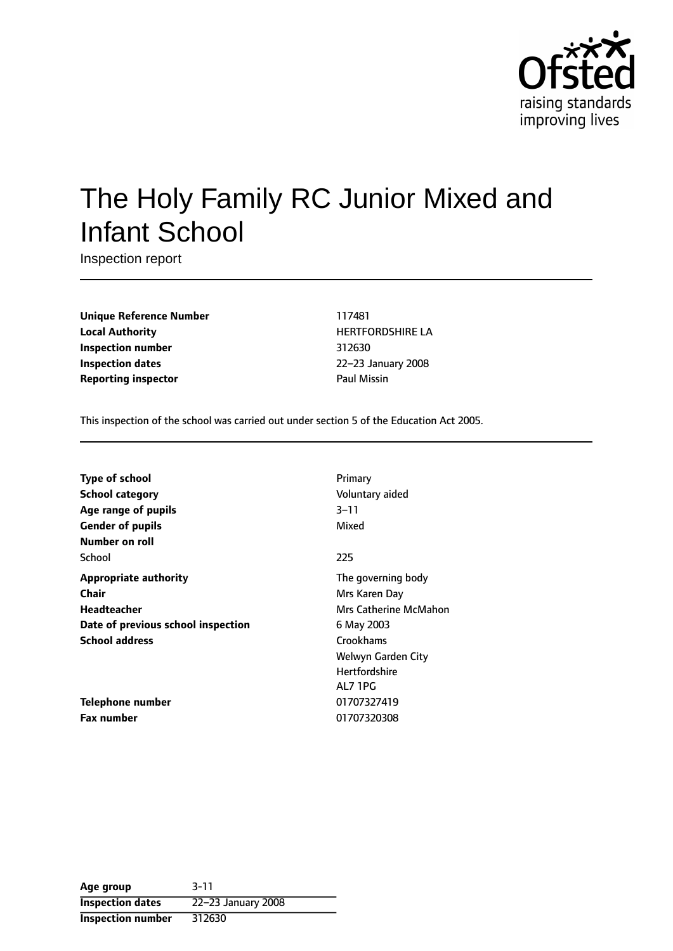

# The Holy Family RC Junior Mixed and Infant School

Inspection report

**Unique Reference Number** 117481 **Local Authority HERTFORDSHIRE LA Inspection number** 312630 **Inspection dates** 22-23 January 2008 **Reporting inspector CONSERVING PAUL MISSING PAUL MISSING PAUL MISSING PAUL MISSING PAUL MISSING PAUL MISSING PAUL MISSING PAUL MISSING PAUL MISSING PAUL MISSING PAUL MISSING PAUL MISSING PAUL MISSING PAUL MISSING PAUL M** 

This inspection of the school was carried out under section 5 of the Education Act 2005.

| <b>Type of school</b>              | Primary               |
|------------------------------------|-----------------------|
| <b>School category</b>             | Voluntary aided       |
| Age range of pupils                | $3 - 11$              |
| <b>Gender of pupils</b>            | Mixed                 |
| Number on roll                     |                       |
| School                             | 225                   |
| <b>Appropriate authority</b>       | The governing body    |
| <b>Chair</b>                       | Mrs Karen Day         |
| <b>Headteacher</b>                 | Mrs Catherine McMahon |
| Date of previous school inspection | 6 May 2003            |
| <b>School address</b>              | Crookhams             |
|                                    | Welwyn Garden City    |
|                                    | <b>Hertfordshire</b>  |
|                                    | AL7 1PG               |
| Telephone number                   | 01707327419           |
| <b>Fax number</b>                  | 01707320308           |

| Age group                | $3 - 11$           |
|--------------------------|--------------------|
| <b>Inspection dates</b>  | 22-23 January 2008 |
| <b>Inspection number</b> | 312630             |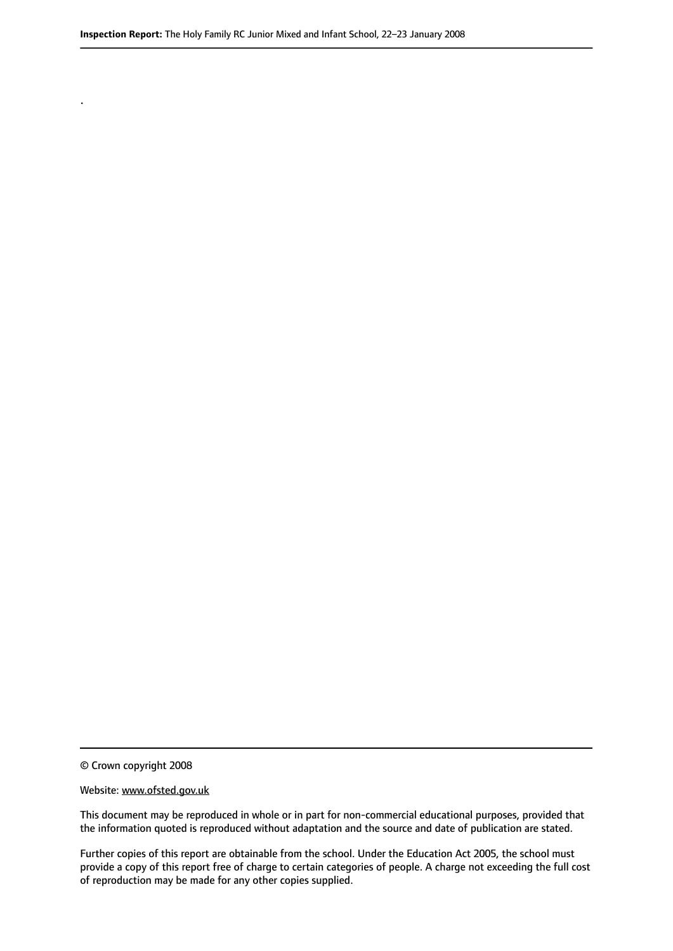© Crown copyright 2008

.

#### Website: www.ofsted.gov.uk

This document may be reproduced in whole or in part for non-commercial educational purposes, provided that the information quoted is reproduced without adaptation and the source and date of publication are stated.

Further copies of this report are obtainable from the school. Under the Education Act 2005, the school must provide a copy of this report free of charge to certain categories of people. A charge not exceeding the full cost of reproduction may be made for any other copies supplied.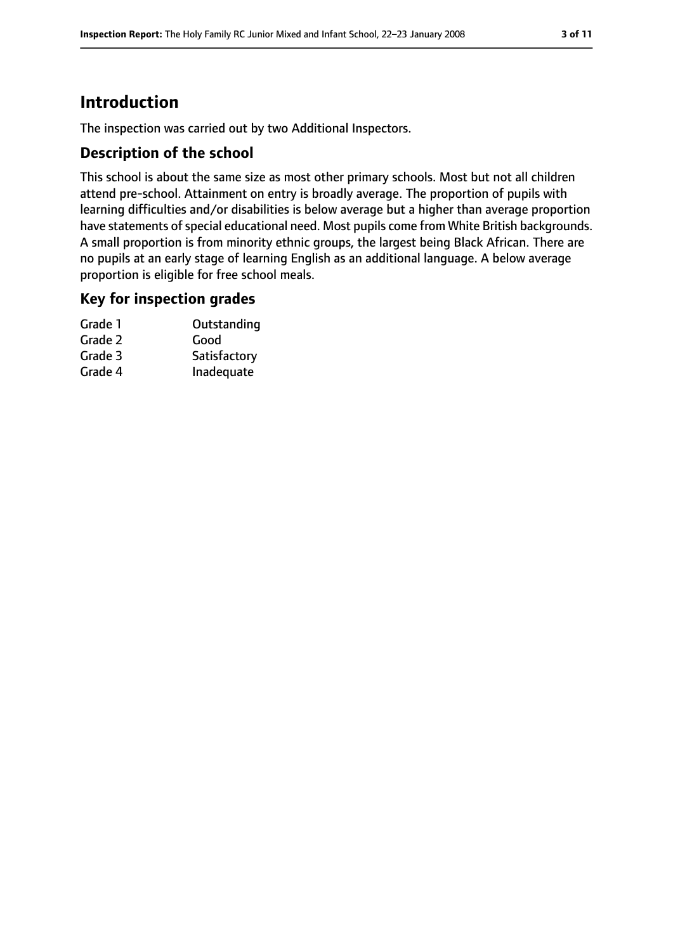# **Introduction**

The inspection was carried out by two Additional Inspectors.

#### **Description of the school**

This school is about the same size as most other primary schools. Most but not all children attend pre-school. Attainment on entry is broadly average. The proportion of pupils with learning difficulties and/or disabilities is below average but a higher than average proportion have statements of special educational need. Most pupils come from White British backgrounds. A small proportion is from minority ethnic groups, the largest being Black African. There are no pupils at an early stage of learning English as an additional language. A below average proportion is eligible for free school meals.

#### **Key for inspection grades**

| Outstanding  |
|--------------|
| Good         |
| Satisfactory |
| Inadequate   |
|              |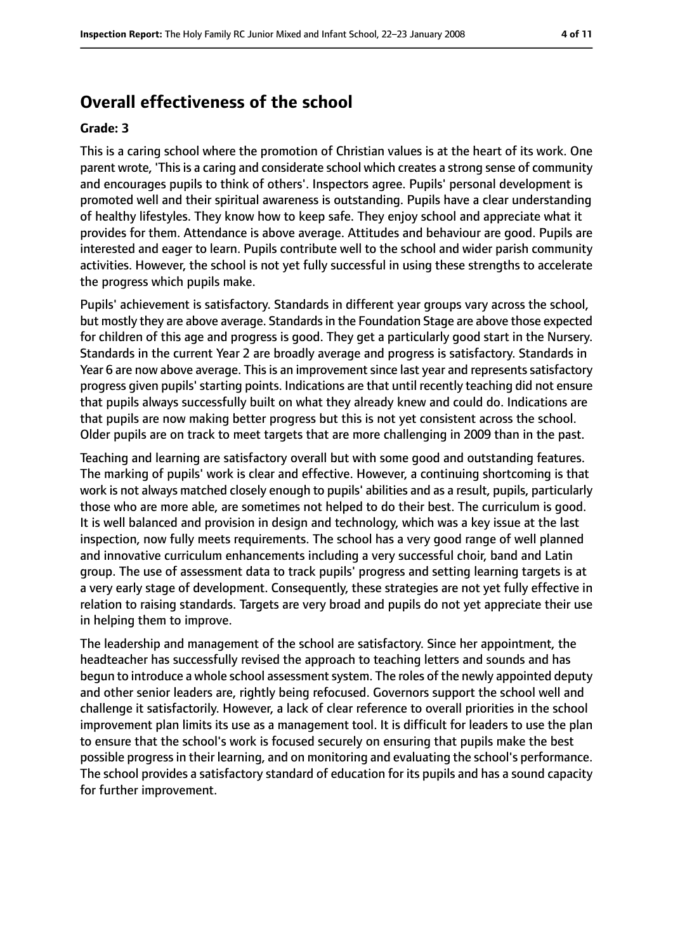# **Overall effectiveness of the school**

#### **Grade: 3**

This is a caring school where the promotion of Christian values is at the heart of its work. One parent wrote, 'Thisis a caring and considerate school which creates a strong sense of community and encourages pupils to think of others'. Inspectors agree. Pupils' personal development is promoted well and their spiritual awareness is outstanding. Pupils have a clear understanding of healthy lifestyles. They know how to keep safe. They enjoy school and appreciate what it provides for them. Attendance is above average. Attitudes and behaviour are good. Pupils are interested and eager to learn. Pupils contribute well to the school and wider parish community activities. However, the school is not yet fully successful in using these strengths to accelerate the progress which pupils make.

Pupils' achievement is satisfactory. Standards in different year groups vary across the school, but mostly they are above average. Standards in the Foundation Stage are above those expected for children of this age and progress is good. They get a particularly good start in the Nursery. Standards in the current Year 2 are broadly average and progress is satisfactory. Standards in Year 6 are now above average. This is an improvement since last year and represents satisfactory progress given pupils' starting points. Indications are that until recently teaching did not ensure that pupils always successfully built on what they already knew and could do. Indications are that pupils are now making better progress but this is not yet consistent across the school. Older pupils are on track to meet targets that are more challenging in 2009 than in the past.

Teaching and learning are satisfactory overall but with some good and outstanding features. The marking of pupils' work is clear and effective. However, a continuing shortcoming is that work is not always matched closely enough to pupils' abilities and as a result, pupils, particularly those who are more able, are sometimes not helped to do their best. The curriculum is good. It is well balanced and provision in design and technology, which was a key issue at the last inspection, now fully meets requirements. The school has a very good range of well planned and innovative curriculum enhancements including a very successful choir, band and Latin group. The use of assessment data to track pupils' progress and setting learning targets is at a very early stage of development. Consequently, these strategies are not yet fully effective in relation to raising standards. Targets are very broad and pupils do not yet appreciate their use in helping them to improve.

The leadership and management of the school are satisfactory. Since her appointment, the headteacher has successfully revised the approach to teaching letters and sounds and has begun to introduce a whole school assessment system. The roles of the newly appointed deputy and other senior leaders are, rightly being refocused. Governors support the school well and challenge it satisfactorily. However, a lack of clear reference to overall priorities in the school improvement plan limits its use as a management tool. It is difficult for leaders to use the plan to ensure that the school's work is focused securely on ensuring that pupils make the best possible progressin their learning, and on monitoring and evaluating the school's performance. The school provides a satisfactory standard of education for its pupils and has a sound capacity for further improvement.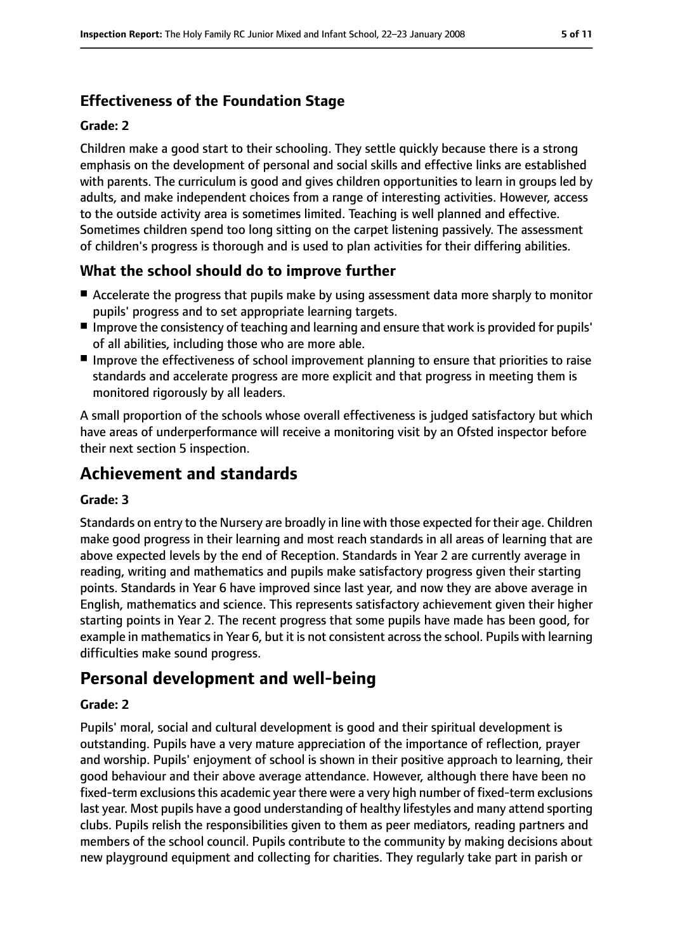## **Effectiveness of the Foundation Stage**

#### **Grade: 2**

Children make a good start to their schooling. They settle quickly because there is a strong emphasis on the development of personal and social skills and effective links are established with parents. The curriculum is good and gives children opportunities to learn in groups led by adults, and make independent choices from a range of interesting activities. However, access to the outside activity area is sometimes limited. Teaching is well planned and effective. Sometimes children spend too long sitting on the carpet listening passively. The assessment of children's progress is thorough and is used to plan activities for their differing abilities.

#### **What the school should do to improve further**

- Accelerate the progress that pupils make by using assessment data more sharply to monitor pupils' progress and to set appropriate learning targets.
- Improve the consistency of teaching and learning and ensure that work is provided for pupils' of all abilities, including those who are more able.
- Improve the effectiveness of school improvement planning to ensure that priorities to raise standards and accelerate progress are more explicit and that progress in meeting them is monitored rigorously by all leaders.

A small proportion of the schools whose overall effectiveness is judged satisfactory but which have areas of underperformance will receive a monitoring visit by an Ofsted inspector before their next section 5 inspection.

# **Achievement and standards**

#### **Grade: 3**

Standards on entry to the Nursery are broadly in line with those expected for their age. Children make good progress in their learning and most reach standards in all areas of learning that are above expected levels by the end of Reception. Standards in Year 2 are currently average in reading, writing and mathematics and pupils make satisfactory progress given their starting points. Standards in Year 6 have improved since last year, and now they are above average in English, mathematics and science. This represents satisfactory achievement given their higher starting points in Year 2. The recent progress that some pupils have made has been good, for example in mathematics in Year 6, but it is not consistent across the school. Pupils with learning difficulties make sound progress.

# **Personal development and well-being**

#### **Grade: 2**

Pupils' moral, social and cultural development is good and their spiritual development is outstanding. Pupils have a very mature appreciation of the importance of reflection, prayer and worship. Pupils' enjoyment of school is shown in their positive approach to learning, their good behaviour and their above average attendance. However, although there have been no fixed-term exclusionsthis academic year there were a very high number of fixed-term exclusions last year. Most pupils have a good understanding of healthy lifestyles and many attend sporting clubs. Pupils relish the responsibilities given to them as peer mediators, reading partners and members of the school council. Pupils contribute to the community by making decisions about new playground equipment and collecting for charities. They regularly take part in parish or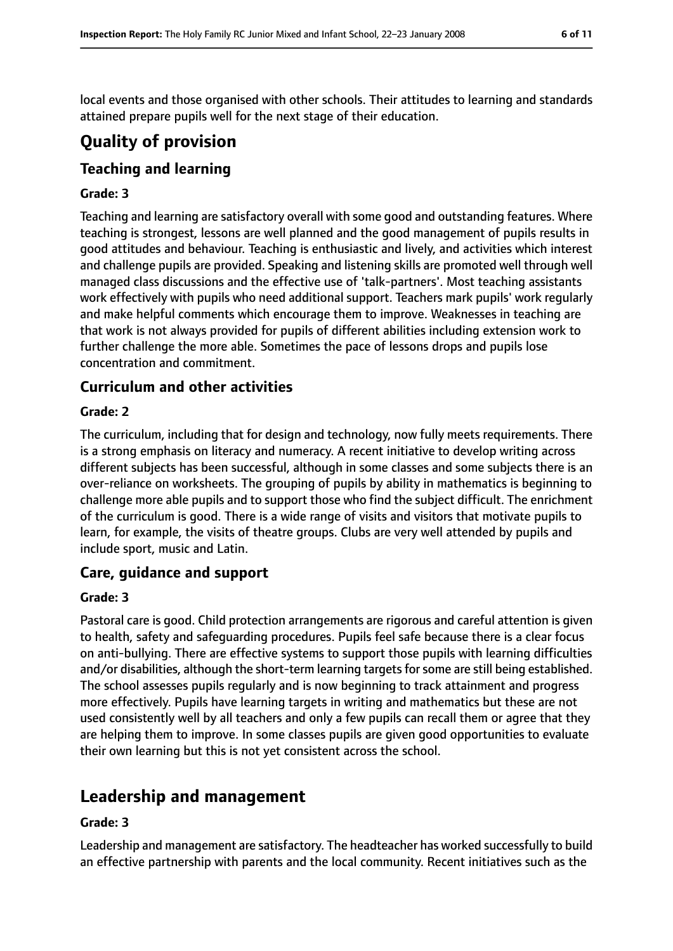local events and those organised with other schools. Their attitudes to learning and standards attained prepare pupils well for the next stage of their education.

# **Quality of provision**

### **Teaching and learning**

#### **Grade: 3**

Teaching and learning are satisfactory overall with some good and outstanding features. Where teaching is strongest, lessons are well planned and the good management of pupils results in good attitudes and behaviour. Teaching is enthusiastic and lively, and activities which interest and challenge pupils are provided. Speaking and listening skills are promoted well through well managed class discussions and the effective use of 'talk-partners'. Most teaching assistants work effectively with pupils who need additional support. Teachers mark pupils' work regularly and make helpful comments which encourage them to improve. Weaknesses in teaching are that work is not always provided for pupils of different abilities including extension work to further challenge the more able. Sometimes the pace of lessons drops and pupils lose concentration and commitment.

#### **Curriculum and other activities**

#### **Grade: 2**

The curriculum, including that for design and technology, now fully meets requirements. There is a strong emphasis on literacy and numeracy. A recent initiative to develop writing across different subjects has been successful, although in some classes and some subjects there is an over-reliance on worksheets. The grouping of pupils by ability in mathematics is beginning to challenge more able pupils and to support those who find the subject difficult. The enrichment of the curriculum is good. There is a wide range of visits and visitors that motivate pupils to learn, for example, the visits of theatre groups. Clubs are very well attended by pupils and include sport, music and Latin.

#### **Care, guidance and support**

#### **Grade: 3**

Pastoral care is good. Child protection arrangements are rigorous and careful attention is given to health, safety and safeguarding procedures. Pupils feel safe because there is a clear focus on anti-bullying. There are effective systems to support those pupils with learning difficulties and/or disabilities, although the short-term learning targets for some are still being established. The school assesses pupils regularly and is now beginning to track attainment and progress more effectively. Pupils have learning targets in writing and mathematics but these are not used consistently well by all teachers and only a few pupils can recall them or agree that they are helping them to improve. In some classes pupils are given good opportunities to evaluate their own learning but this is not yet consistent across the school.

# **Leadership and management**

#### **Grade: 3**

Leadership and management are satisfactory. The headteacher has worked successfully to build an effective partnership with parents and the local community. Recent initiatives such as the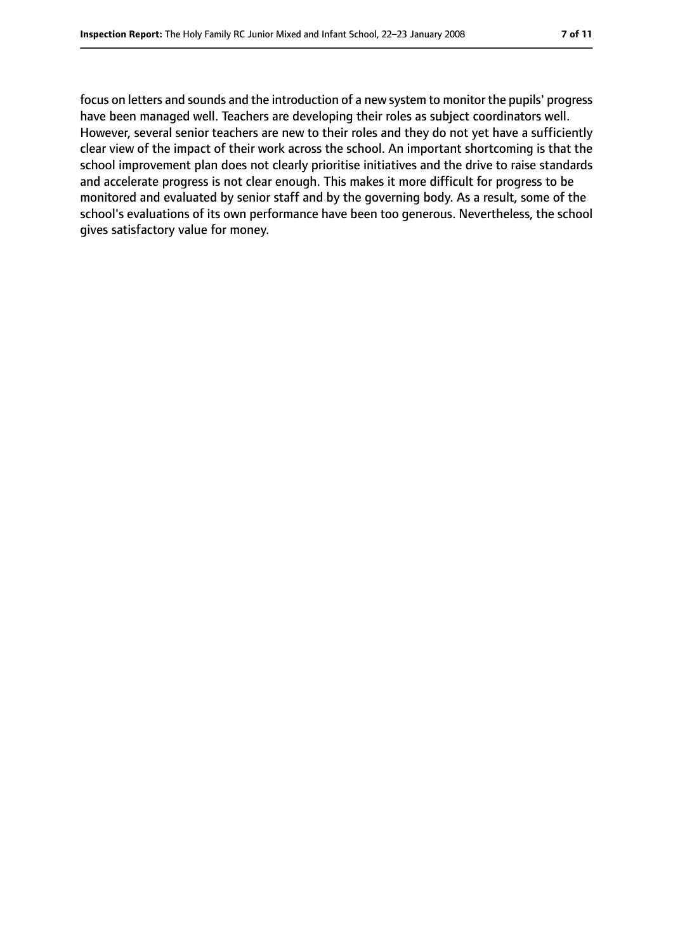focus on letters and sounds and the introduction of a new system to monitor the pupils' progress have been managed well. Teachers are developing their roles as subject coordinators well. However, several senior teachers are new to their roles and they do not yet have a sufficiently clear view of the impact of their work across the school. An important shortcoming is that the school improvement plan does not clearly prioritise initiatives and the drive to raise standards and accelerate progress is not clear enough. This makes it more difficult for progress to be monitored and evaluated by senior staff and by the governing body. As a result, some of the school's evaluations of its own performance have been too generous. Nevertheless, the school gives satisfactory value for money.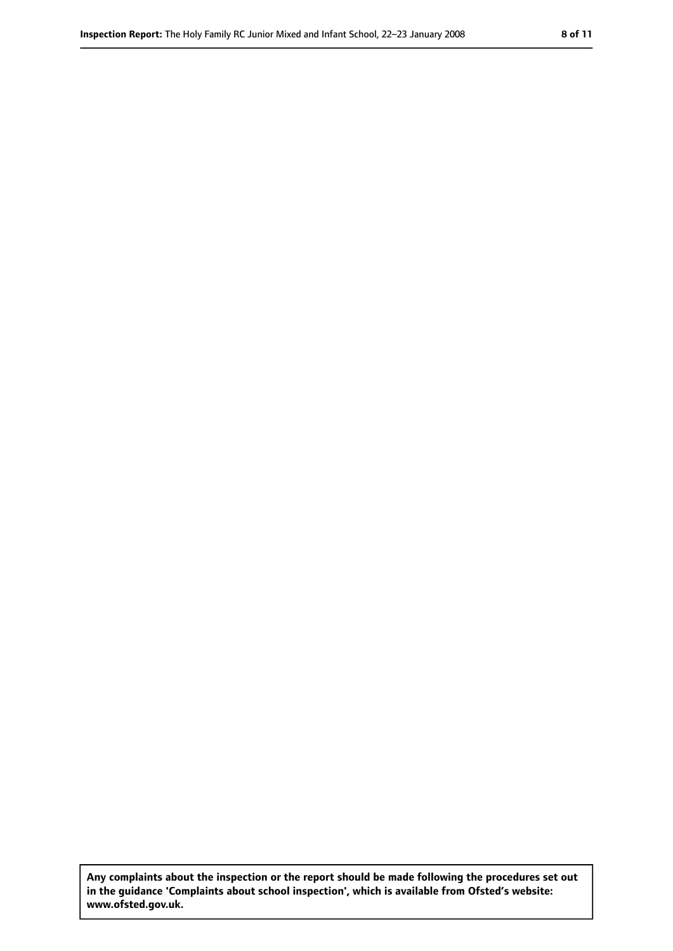**Any complaints about the inspection or the report should be made following the procedures set out in the guidance 'Complaints about school inspection', which is available from Ofsted's website: www.ofsted.gov.uk.**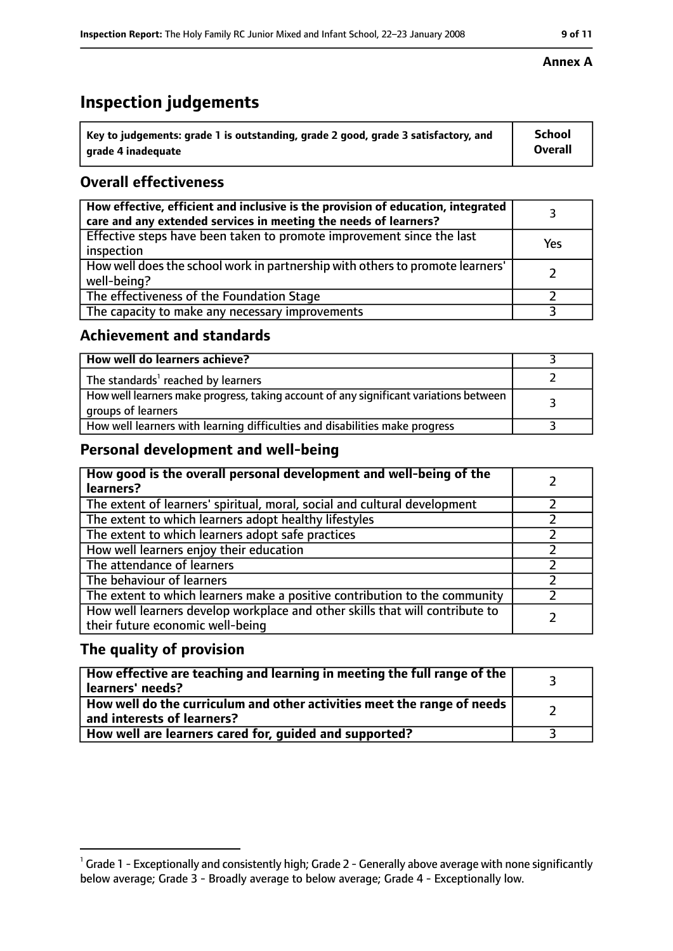# **Inspection judgements**

| $\dot{~}$ Key to judgements: grade 1 is outstanding, grade 2 good, grade 3 satisfactory, and | <b>School</b>  |
|----------------------------------------------------------------------------------------------|----------------|
| arade 4 inadequate                                                                           | <b>Overall</b> |

#### **Overall effectiveness**

| How effective, efficient and inclusive is the provision of education, integrated<br>care and any extended services in meeting the needs of learners? |     |
|------------------------------------------------------------------------------------------------------------------------------------------------------|-----|
| Effective steps have been taken to promote improvement since the last<br>inspection                                                                  | Yes |
| How well does the school work in partnership with others to promote learners'<br>well-being?                                                         |     |
| The effectiveness of the Foundation Stage                                                                                                            |     |
| The capacity to make any necessary improvements                                                                                                      |     |

#### **Achievement and standards**

| How well do learners achieve?                                                                               |  |
|-------------------------------------------------------------------------------------------------------------|--|
| The standards <sup>1</sup> reached by learners                                                              |  |
| How well learners make progress, taking account of any significant variations between<br>groups of learners |  |
| How well learners with learning difficulties and disabilities make progress                                 |  |

#### **Personal development and well-being**

| How good is the overall personal development and well-being of the<br>learners?                                  |  |
|------------------------------------------------------------------------------------------------------------------|--|
| The extent of learners' spiritual, moral, social and cultural development                                        |  |
| The extent to which learners adopt healthy lifestyles                                                            |  |
| The extent to which learners adopt safe practices                                                                |  |
| How well learners enjoy their education                                                                          |  |
| The attendance of learners                                                                                       |  |
| The behaviour of learners                                                                                        |  |
| The extent to which learners make a positive contribution to the community                                       |  |
| How well learners develop workplace and other skills that will contribute to<br>their future economic well-being |  |

#### **The quality of provision**

| How effective are teaching and learning in meeting the full range of the<br>learners' needs?          |  |
|-------------------------------------------------------------------------------------------------------|--|
| How well do the curriculum and other activities meet the range of needs<br>and interests of learners? |  |
| How well are learners cared for, guided and supported?                                                |  |

#### **Annex A**

 $^1$  Grade 1 - Exceptionally and consistently high; Grade 2 - Generally above average with none significantly below average; Grade 3 - Broadly average to below average; Grade 4 - Exceptionally low.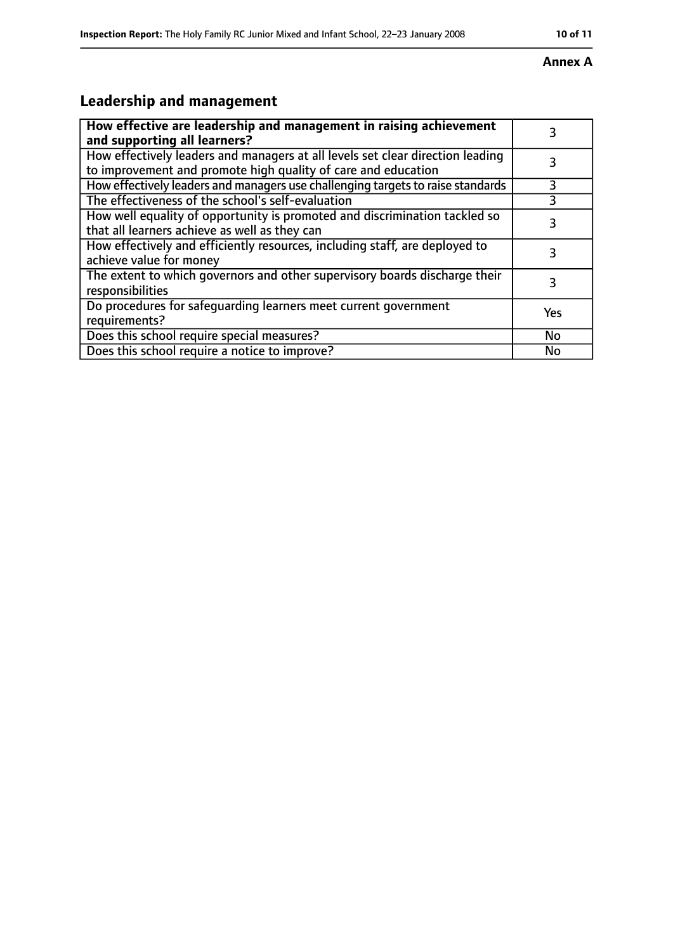#### **Annex A**

# **Leadership and management**

| How effective are leadership and management in raising achievement<br>and supporting all learners?                                              |     |
|-------------------------------------------------------------------------------------------------------------------------------------------------|-----|
| How effectively leaders and managers at all levels set clear direction leading<br>to improvement and promote high quality of care and education |     |
| How effectively leaders and managers use challenging targets to raise standards                                                                 | 3   |
| The effectiveness of the school's self-evaluation                                                                                               | 3   |
| How well equality of opportunity is promoted and discrimination tackled so<br>that all learners achieve as well as they can                     |     |
| How effectively and efficiently resources, including staff, are deployed to<br>achieve value for money                                          | 3   |
| The extent to which governors and other supervisory boards discharge their<br>responsibilities                                                  |     |
| Do procedures for safequarding learners meet current government<br>requirements?                                                                | Yes |
| Does this school require special measures?                                                                                                      | No  |
| Does this school require a notice to improve?                                                                                                   | No  |